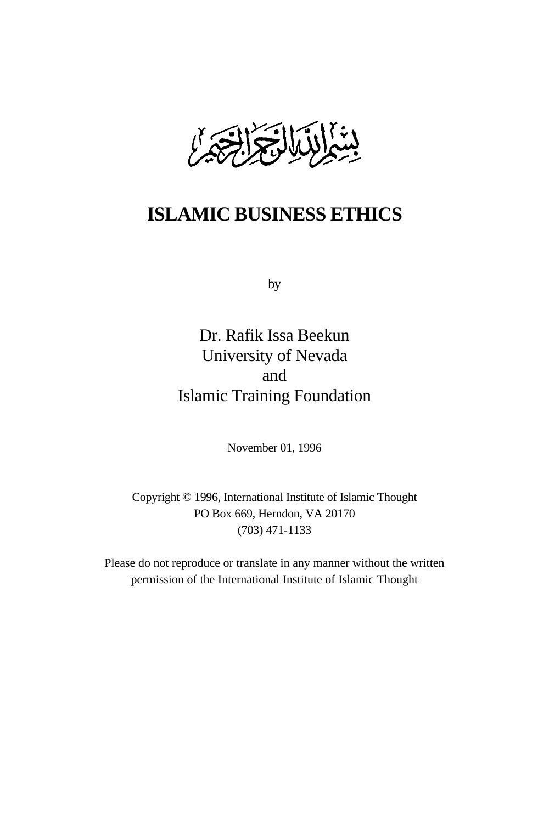بِينَ الْذَيْرَ الْتَحَرَّ الْتَحَدُّ إِنِّ

# **ISLAMIC BUSINESS ETHICS**

by

Dr. Rafik Issa Beekun University of Nevada and Islamic Training Foundation

November 01, 1996

Copyright © 1996, International Institute of Islamic Thought PO Box 669, Herndon, VA 20170 (703) 471-1133

Please do not reproduce or translate in any manner without the written permission of the International Institute of Islamic Thought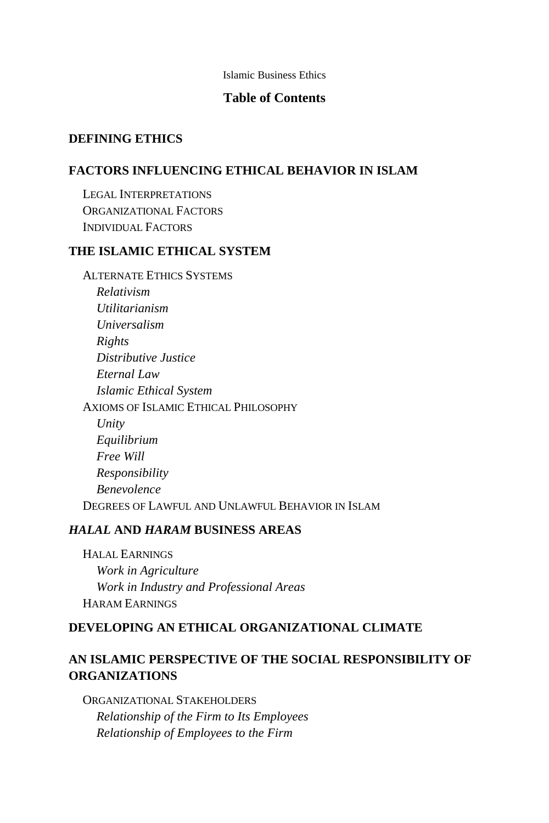### **Table of Contents**

### **DEFINING ETHICS**

### **FACTORS INFLUENCING ETHICAL BEHAVIOR IN ISLAM**

LEGAL INTERPRETATIONS ORGANIZATIONAL FACTORS INDIVIDUAL FACTORS

### **THE ISLAMIC ETHICAL SYSTEM**

ALTERNATE ETHICS SYSTEMS *Relativism Utilitarianism Universalism Rights Distributive Justice Eternal Law Islamic Ethical System* AXIOMS OF ISLAMIC ETHICAL PHILOSOPHY *Unity Equilibrium Free Will Responsibility Benevolence* DEGREES OF LAWFUL AND UNLAWFUL BEHAVIOR IN ISLAM

### *HALAL* **AND** *HARAM* **BUSINESS AREAS**

HALAL EARNINGS *Work in Agriculture Work in Industry and Professional Areas* HARAM EARNINGS

#### **DEVELOPING AN ETHICAL ORGANIZATIONAL CLIMATE**

## **AN ISLAMIC PERSPECTIVE OF THE SOCIAL RESPONSIBILITY OF ORGANIZATIONS**

ORGANIZATIONAL STAKEHOLDERS *Relationship of the Firm to Its Employees Relationship of Employees to the Firm*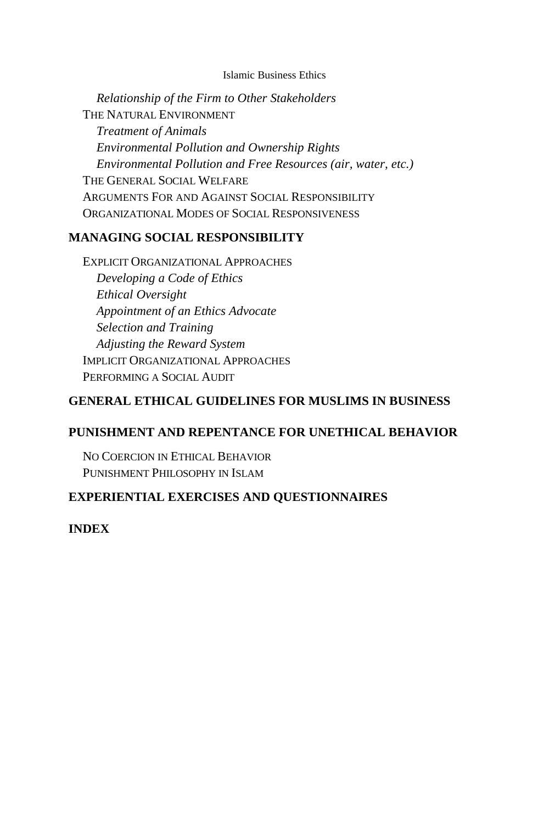*Relationship of the Firm to Other Stakeholders* THE NATURAL ENVIRONMENT *Treatment of Animals Environmental Pollution and Ownership Rights Environmental Pollution and Free Resources (air, water, etc.)* THE GENERAL SOCIAL WELFARE ARGUMENTS FOR AND AGAINST SOCIAL RESPONSIBILITY ORGANIZATIONAL MODES OF SOCIAL RESPONSIVENESS

#### **MANAGING SOCIAL RESPONSIBILITY**

EXPLICIT ORGANIZATIONAL APPROACHES *Developing a Code of Ethics Ethical Oversight Appointment of an Ethics Advocate Selection and Training Adjusting the Reward System* IMPLICIT ORGANIZATIONAL APPROACHES PERFORMING A SOCIAL AUDIT

### **GENERAL ETHICAL GUIDELINES FOR MUSLIMS IN BUSINESS**

#### **PUNISHMENT AND REPENTANCE FOR UNETHICAL BEHAVIOR**

NO COERCION IN ETHICAL BEHAVIOR PUNISHMENT PHILOSOPHY IN ISLAM

#### **EXPERIENTIAL EXERCISES AND QUESTIONNAIRES**

#### **INDEX**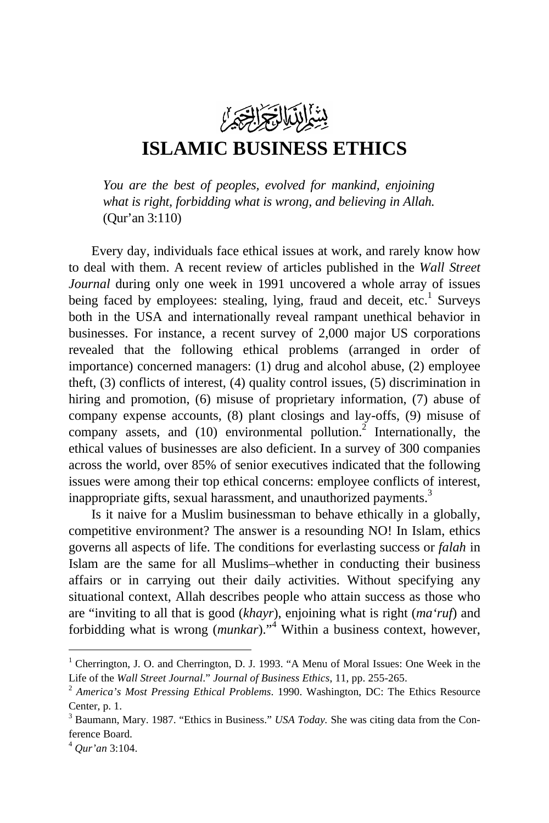

# **ISLAMIC BUSINESS ETHICS**

*You are the best of peoples, evolved for mankind, enjoining what is right, forbidding what is wrong, and believing in Allah.* (Qur'an 3:110)

Every day, individuals face ethical issues at work, and rarely know how to deal with them. A recent review of articles published in the *Wall Street Journal* during only one week in 1991 uncovered a whole array of issues being faced by employees: stealing, lying, fraud and deceit, etc.<sup>1</sup> Surveys both in the USA and internationally reveal rampant unethical behavior in businesses. For instance, a recent survey of 2,000 major US corporations revealed that the following ethical problems (arranged in order of importance) concerned managers: (1) drug and alcohol abuse, (2) employee theft, (3) conflicts of interest, (4) quality control issues, (5) discrimination in hiring and promotion, (6) misuse of proprietary information, (7) abuse of company expense accounts, (8) plant closings and lay-offs, (9) misuse of company assets, and  $(10)$  environmental pollution.<sup>2</sup> Internationally, the ethical values of businesses are also deficient. In a survey of 300 companies across the world, over 85% of senior executives indicated that the following issues were among their top ethical concerns: employee conflicts of interest, inappropriate gifts, sexual harassment, and unauthorized payments.<sup>3</sup>

Is it naive for a Muslim businessman to behave ethically in a globally, competitive environment? The answer is a resounding NO! In Islam, ethics governs all aspects of life. The conditions for everlasting success or *falah* in Islam are the same for all Muslims–whether in conducting their business affairs or in carrying out their daily activities. Without specifying any situational context, Allah describes people who attain success as those who are "inviting to all that is good (*khayr*), enjoining what is right (*ma'ruf*) and forbidding what is wrong (*munkar*)."<sup>4</sup> Within a business context, however,

 $\overline{a}$ 

<sup>&</sup>lt;sup>1</sup> Cherrington, J. O. and Cherrington, D. J. 1993. "A Menu of Moral Issues: One Week in the Life of the *Wall Street Journal*." *Journal of Business Ethics*, 11, pp. 255-265.

<sup>2</sup> *America's Most Pressing Ethical Problems*. 1990. Washington, DC: The Ethics Resource Center, p. 1.

<sup>&</sup>lt;sup>3</sup> Baumann, Mary. 1987. "Ethics in Business." USA Today. She was citing data from the Conference Board.

<sup>4</sup> *Qur'an* 3:104.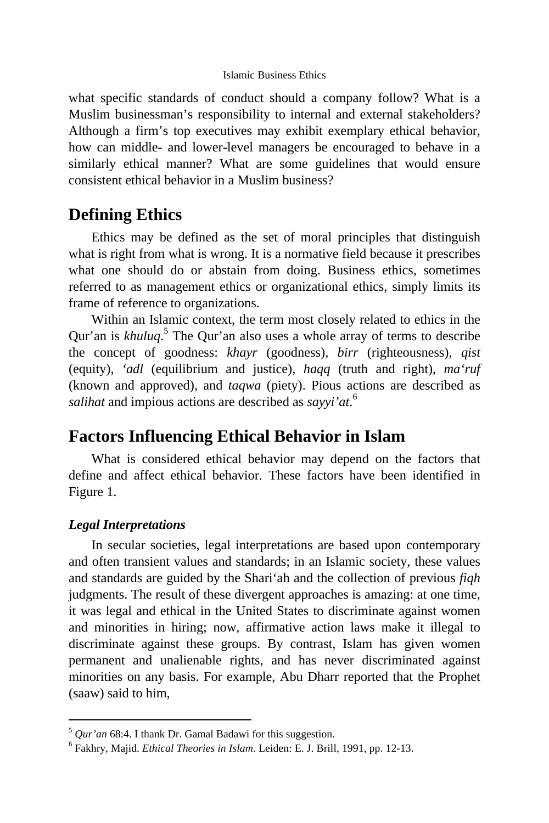what specific standards of conduct should a company follow? What is a Muslim businessman's responsibility to internal and external stakeholders? Although a firm's top executives may exhibit exemplary ethical behavior, how can middle- and lower-level managers be encouraged to behave in a similarly ethical manner? What are some guidelines that would ensure consistent ethical behavior in a Muslim business?

## **Defining Ethics**

Ethics may be defined as the set of moral principles that distinguish what is right from what is wrong. It is a normative field because it prescribes what one should do or abstain from doing. Business ethics, sometimes referred to as management ethics or organizational ethics, simply limits its frame of reference to organizations.

Within an Islamic context, the term most closely related to ethics in the Qur'an is *khuluq*. 5 The Qur'an also uses a whole array of terms to describe the concept of goodness: *khayr* (goodness), *birr* (righteousness), *qist* (equity), *'adl* (equilibrium and justice), *haqq* (truth and right), *ma'ruf* (known and approved), and *taqwa* (piety). Pious actions are described as *salihat* and impious actions are described as *sayyi'at*. 6

## **Factors Influencing Ethical Behavior in Islam**

What is considered ethical behavior may depend on the factors that define and affect ethical behavior. These factors have been identified in Figure 1.

### *Legal Interpretations*

l

In secular societies, legal interpretations are based upon contemporary and often transient values and standards; in an Islamic society, these values and standards are guided by the Shari'ah and the collection of previous *fiqh* judgments. The result of these divergent approaches is amazing: at one time, it was legal and ethical in the United States to discriminate against women and minorities in hiring; now, affirmative action laws make it illegal to discriminate against these groups. By contrast, Islam has given women permanent and unalienable rights, and has never discriminated against minorities on any basis. For example, Abu Dharr reported that the Prophet (saaw) said to him,

<sup>5</sup> *Qur'an* 68:4. I thank Dr. Gamal Badawi for this suggestion.

<sup>6</sup> Fakhry, Majid. *Ethical Theories in Islam*. Leiden: E. J. Brill, 1991, pp. 12-13.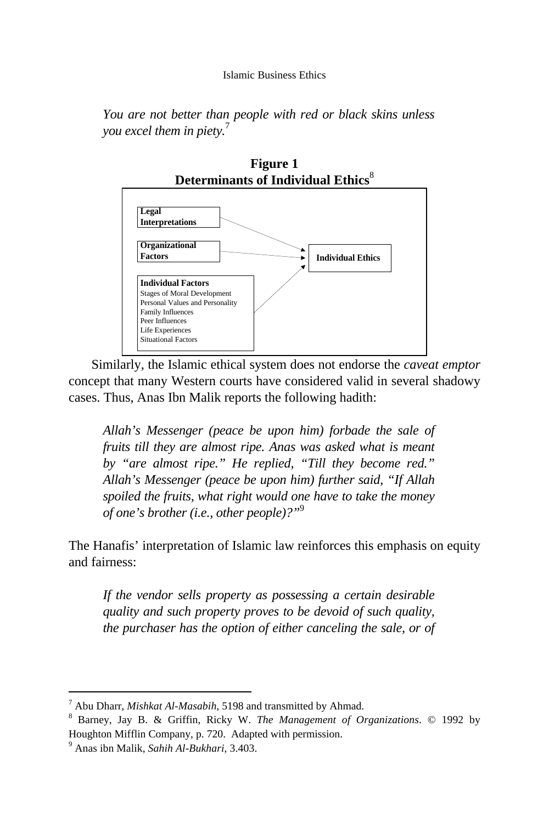*You are not better than people with red or black skins unless you excel them in piety.*<sup>7</sup>



Similarly, the Islamic ethical system does not endorse the *caveat emptor* concept that many Western courts have considered valid in several shadowy cases. Thus, Anas Ibn Malik reports the following hadith:

*Allah's Messenger (peace be upon him) forbade the sale of fruits till they are almost ripe. Anas was asked what is meant by "are almost ripe." He replied, "Till they become red." Allah's Messenger (peace be upon him) further said, "If Allah spoiled the fruits, what right would one have to take the money of one's brother (i.e., other people)?"*<sup>9</sup>

The Hanafis' interpretation of Islamic law reinforces this emphasis on equity and fairness:

*If the vendor sells property as possessing a certain desirable quality and such property proves to be devoid of such quality, the purchaser has the option of either canceling the sale, or of*

 7 Abu Dharr, *Mishkat Al-Masabih*, 5198 and transmitted by Ahmad.

<sup>8</sup> Barney, Jay B. & Griffin, Ricky W. *The Management of Organizations*. © 1992 by Houghton Mifflin Company, p. 720. Adapted with permission.

<sup>9</sup> Anas ibn Malik, *Sahih Al-Bukhari*, 3.403.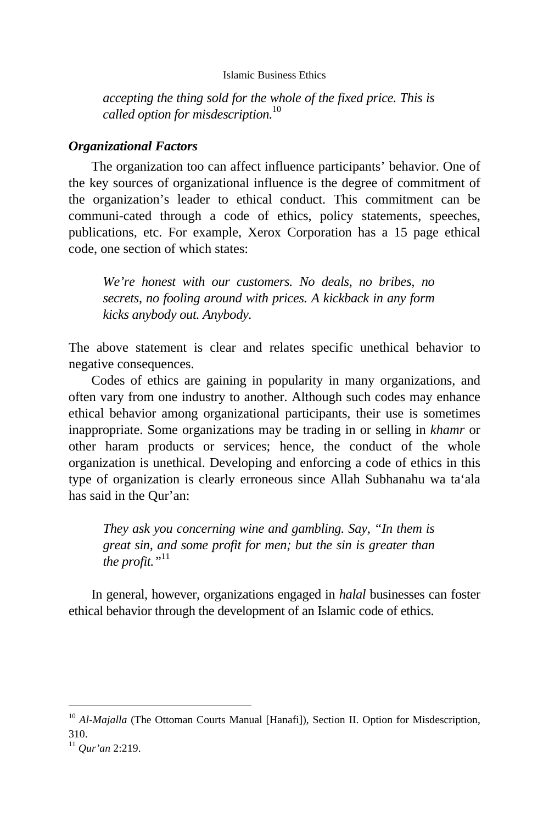*accepting the thing sold for the whole of the fixed price. This is called option for misdescription.*<sup>10</sup>

#### *Organizational Factors*

The organization too can affect influence participants' behavior. One of the key sources of organizational influence is the degree of commitment of the organization's leader to ethical conduct. This commitment can be communi-cated through a code of ethics, policy statements, speeches, publications, etc. For example, Xerox Corporation has a 15 page ethical code, one section of which states:

*We're honest with our customers. No deals, no bribes, no secrets, no fooling around with prices. A kickback in any form kicks anybody out. Anybody.*

The above statement is clear and relates specific unethical behavior to negative consequences.

Codes of ethics are gaining in popularity in many organizations, and often vary from one industry to another. Although such codes may enhance ethical behavior among organizational participants, their use is sometimes inappropriate. Some organizations may be trading in or selling in *khamr* or other haram products or services; hence, the conduct of the whole organization is unethical. Developing and enforcing a code of ethics in this type of organization is clearly erroneous since Allah Subhanahu wa ta'ala has said in the Qur'an:

*They ask you concerning wine and gambling. Say, "In them is great sin, and some profit for men; but the sin is greater than the profit."*<sup>11</sup>

In general, however, organizations engaged in *halal* businesses can foster ethical behavior through the development of an Islamic code of ethics.

 $\overline{a}$ 

<sup>&</sup>lt;sup>10</sup> Al-Majalla (The Ottoman Courts Manual [Hanafi]), Section II. Option for Misdescription, 310.

<sup>11</sup> *Qur'an* 2:219.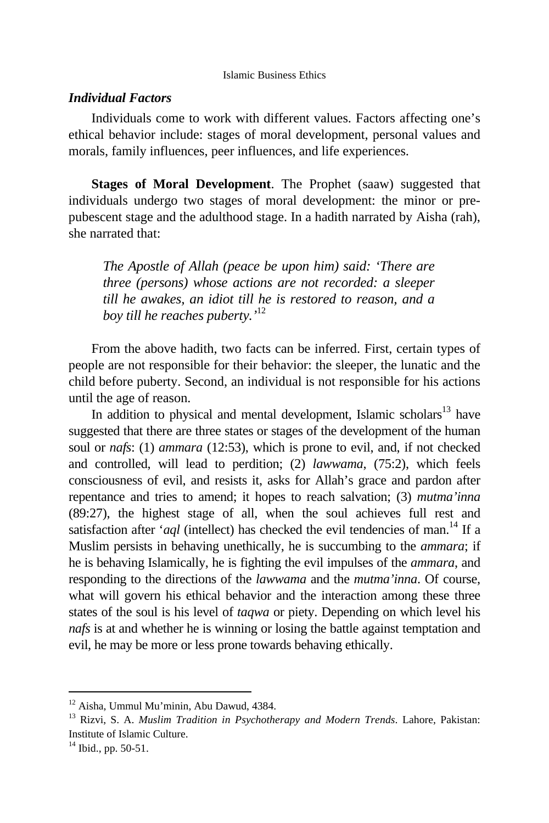### *Individual Factors*

Individuals come to work with different values. Factors affecting one's ethical behavior include: stages of moral development, personal values and morals, family influences, peer influences, and life experiences.

**Stages of Moral Development**. The Prophet (saaw) suggested that individuals undergo two stages of moral development: the minor or prepubescent stage and the adulthood stage. In a hadith narrated by Aisha (rah), she narrated that:

*The Apostle of Allah (peace be upon him) said: 'There are three (persons) whose actions are not recorded: a sleeper till he awakes, an idiot till he is restored to reason, and a boy till he reaches puberty.'*<sup>12</sup>

From the above hadith, two facts can be inferred. First, certain types of people are not responsible for their behavior: the sleeper, the lunatic and the child before puberty. Second, an individual is not responsible for his actions until the age of reason.

In addition to physical and mental development, Islamic scholars<sup>13</sup> have suggested that there are three states or stages of the development of the human soul or *nafs*: (1) *ammara* (12:53), which is prone to evil, and, if not checked and controlled, will lead to perdition; (2) *lawwama*, (75:2), which feels consciousness of evil, and resists it, asks for Allah's grace and pardon after repentance and tries to amend; it hopes to reach salvation; (3) *mutma'inna* (89:27), the highest stage of all, when the soul achieves full rest and satisfaction after ' $aql$  (intellect) has checked the evil tendencies of man.<sup>14</sup> If a Muslim persists in behaving unethically, he is succumbing to the *ammara*; if he is behaving Islamically, he is fighting the evil impulses of the *ammara*, and responding to the directions of the *lawwama* and the *mutma'inna*. Of course, what will govern his ethical behavior and the interaction among these three states of the soul is his level of *taqwa* or piety. Depending on which level his *nafs* is at and whether he is winning or losing the battle against temptation and evil, he may be more or less prone towards behaving ethically.

 $\overline{a}$ 

<sup>&</sup>lt;sup>12</sup> Aisha, Ummul Mu'minin, Abu Dawud, 4384.

<sup>13</sup> Rizvi, S. A. *Muslim Tradition in Psychotherapy and Modern Trends*. Lahore, Pakistan: Institute of Islamic Culture.

 $14$  Ibid., pp. 50-51.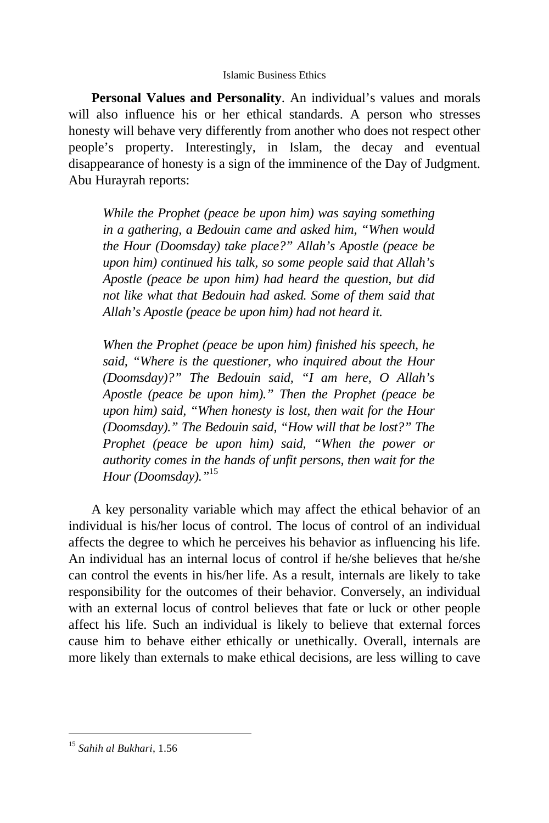**Personal Values and Personality**. An individual's values and morals will also influence his or her ethical standards. A person who stresses honesty will behave very differently from another who does not respect other people's property. Interestingly, in Islam, the decay and eventual disappearance of honesty is a sign of the imminence of the Day of Judgment. Abu Hurayrah reports:

*While the Prophet (peace be upon him) was saying something in a gathering, a Bedouin came and asked him, "When would the Hour (Doomsday) take place?" Allah's Apostle (peace be upon him) continued his talk, so some people said that Allah's Apostle (peace be upon him) had heard the question, but did not like what that Bedouin had asked. Some of them said that Allah's Apostle (peace be upon him) had not heard it.*

*When the Prophet (peace be upon him) finished his speech, he said, "Where is the questioner, who inquired about the Hour (Doomsday)?" The Bedouin said, "I am here, O Allah's Apostle (peace be upon him)." Then the Prophet (peace be upon him) said, "When honesty is lost, then wait for the Hour (Doomsday)." The Bedouin said, "How will that be lost?" The Prophet (peace be upon him) said, "When the power or authority comes in the hands of unfit persons, then wait for the Hour (Doomsday)."*<sup>15</sup>

A key personality variable which may affect the ethical behavior of an individual is his/her locus of control. The locus of control of an individual affects the degree to which he perceives his behavior as influencing his life. An individual has an internal locus of control if he/she believes that he/she can control the events in his/her life. As a result, internals are likely to take responsibility for the outcomes of their behavior. Conversely, an individual with an external locus of control believes that fate or luck or other people affect his life. Such an individual is likely to believe that external forces cause him to behave either ethically or unethically. Overall, internals are more likely than externals to make ethical decisions, are less willing to cave

-

<sup>15</sup> *Sahih al Bukhari*, 1.56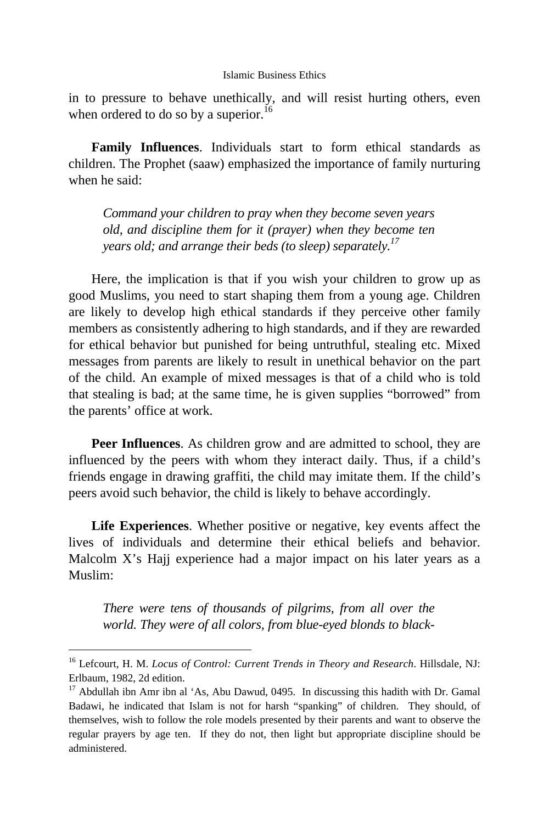in to pressure to behave unethically, and will resist hurting others, even when ordered to do so by a superior.<sup>16</sup>

**Family Influences**. Individuals start to form ethical standards as children. The Prophet (saaw) emphasized the importance of family nurturing when he said:

*Command your children to pray when they become seven years old, and discipline them for it (prayer) when they become ten years old; and arrange their beds (to sleep) separately.<sup>17</sup>*

Here, the implication is that if you wish your children to grow up as good Muslims, you need to start shaping them from a young age. Children are likely to develop high ethical standards if they perceive other family members as consistently adhering to high standards, and if they are rewarded for ethical behavior but punished for being untruthful, stealing etc. Mixed messages from parents are likely to result in unethical behavior on the part of the child. An example of mixed messages is that of a child who is told that stealing is bad; at the same time, he is given supplies "borrowed" from the parents' office at work.

**Peer Influences**. As children grow and are admitted to school, they are influenced by the peers with whom they interact daily. Thus, if a child's friends engage in drawing graffiti, the child may imitate them. If the child's peers avoid such behavior, the child is likely to behave accordingly.

**Life Experiences**. Whether positive or negative, key events affect the lives of individuals and determine their ethical beliefs and behavior. Malcolm X's Hajj experience had a major impact on his later years as a Muslim:

*There were tens of thousands of pilgrims, from all over the world. They were of all colors, from blue-eyed blonds to black-*

<u>.</u>

<sup>16</sup> Lefcourt, H. M. *Locus of Control: Current Trends in Theory and Research*. Hillsdale, NJ: Erlbaum, 1982, 2d edition.

<sup>&</sup>lt;sup>17</sup> Abdullah ibn Amr ibn al 'As, Abu Dawud, 0495. In discussing this hadith with Dr. Gamal Badawi, he indicated that Islam is not for harsh "spanking" of children. They should, of themselves, wish to follow the role models presented by their parents and want to observe the regular prayers by age ten. If they do not, then light but appropriate discipline should be administered.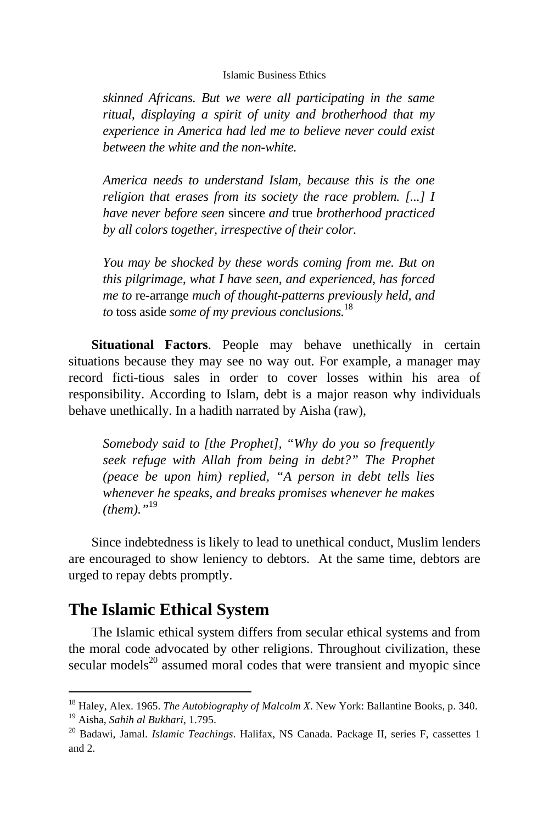*skinned Africans. But we were all participating in the same ritual, displaying a spirit of unity and brotherhood that my experience in America had led me to believe never could exist between the white and the non-white.*

*America needs to understand Islam, because this is the one religion that erases from its society the race problem. [...] I have never before seen* sincere *and* true *brotherhood practiced by all colors together, irrespective of their color.*

*You may be shocked by these words coming from me. But on this pilgrimage, what I have seen, and experienced, has forced me to* re-arrange *much of thought-patterns previously held, and to* toss aside *some of my previous conclusions.*<sup>18</sup>

**Situational Factors**. People may behave unethically in certain situations because they may see no way out. For example, a manager may record ficti-tious sales in order to cover losses within his area of responsibility. According to Islam, debt is a major reason why individuals behave unethically. In a hadith narrated by Aisha (raw),

*Somebody said to [the Prophet], "Why do you so frequently seek refuge with Allah from being in debt?" The Prophet (peace be upon him) replied, "A person in debt tells lies whenever he speaks, and breaks promises whenever he makes (them)."*<sup>19</sup>

Since indebtedness is likely to lead to unethical conduct, Muslim lenders are encouraged to show leniency to debtors. At the same time, debtors are urged to repay debts promptly.

## **The Islamic Ethical System**

The Islamic ethical system differs from secular ethical systems and from the moral code advocated by other religions. Throughout civilization, these secular models $^{20}$  assumed moral codes that were transient and myopic since

-

<sup>18</sup> Haley, Alex. 1965. *The Autobiography of Malcolm X*. New York: Ballantine Books, p. 340.

<sup>19</sup> Aisha, *Sahih al Bukhari*, 1.795.

<sup>20</sup> Badawi, Jamal. *Islamic Teachings*. Halifax, NS Canada. Package II, series F, cassettes 1 and 2.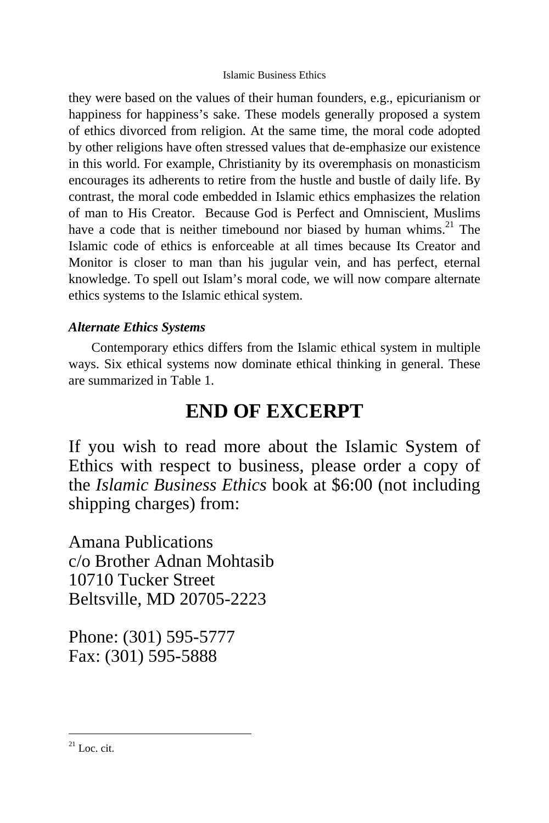they were based on the values of their human founders, e.g., epicurianism or happiness for happiness's sake. These models generally proposed a system of ethics divorced from religion. At the same time, the moral code adopted by other religions have often stressed values that de-emphasize our existence in this world. For example, Christianity by its overemphasis on monasticism encourages its adherents to retire from the hustle and bustle of daily life. By contrast, the moral code embedded in Islamic ethics emphasizes the relation of man to His Creator. Because God is Perfect and Omniscient, Muslims have a code that is neither timebound nor biased by human whims.<sup>21</sup> The Islamic code of ethics is enforceable at all times because Its Creator and Monitor is closer to man than his jugular vein, and has perfect, eternal knowledge. To spell out Islam's moral code, we will now compare alternate ethics systems to the Islamic ethical system.

### *Alternate Ethics Systems*

Contemporary ethics differs from the Islamic ethical system in multiple ways. Six ethical systems now dominate ethical thinking in general. These are summarized in Table 1.

# **END OF EXCERPT**

If you wish to read more about the Islamic System of Ethics with respect to business, please order a copy of the *Islamic Business Ethics* book at \$6:00 (not including shipping charges) from:

Amana Publications c/o Brother Adnan Mohtasib 10710 Tucker Street Beltsville, MD 20705-2223

Phone: (301) 595-5777 Fax: (301) 595-5888

-

 $^{21}$  Loc. cit.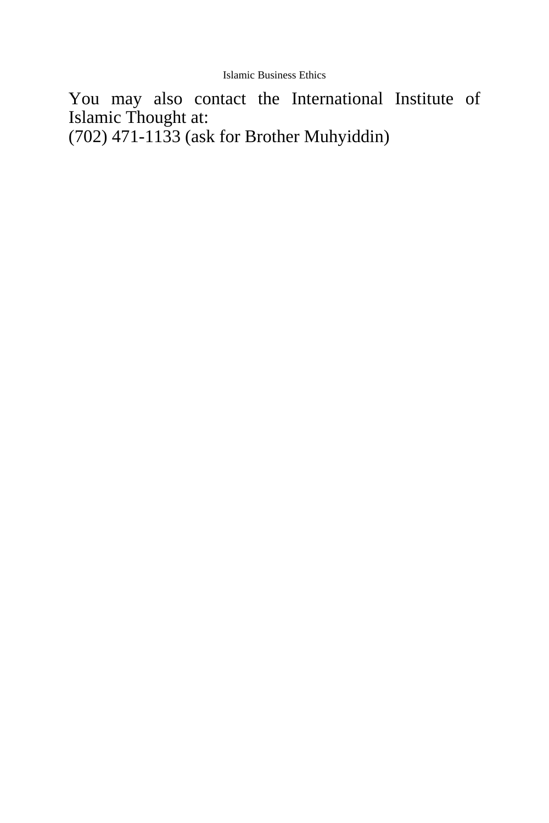You may also contact the International Institute of Islamic Thought at: (702) 471-1133 (ask for Brother Muhyiddin)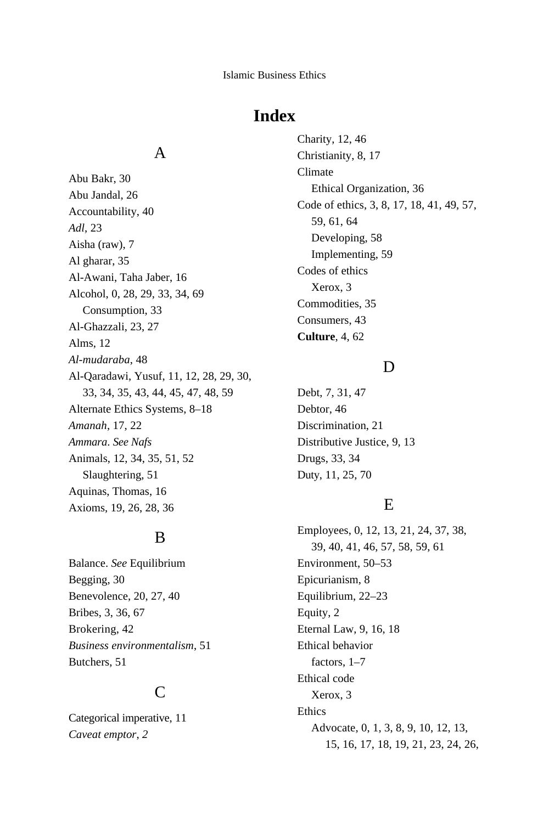## **Index**

## A

Abu Bakr, 30 Abu Jandal, 26 Accountability, 40 *Adl*, 23 Aisha (raw), 7 Al gharar, 35 Al-Awani, Taha Jaber, 16 Alcohol, 0, 28, 29, 33, 34, 69 Consumption, 33 Al-Ghazzali, 23, 27 Alms, 12 *Al-mudaraba*, 48 Al-Qaradawi, Yusuf, 11, 12, 28, 29, 30, 33, 34, 35, 43, 44, 45, 47, 48, 59 Alternate Ethics Systems, 8–18 *Amanah*, 17, 22 *Ammara*. *See Nafs* Animals, 12, 34, 35, 51, 52 Slaughtering, 51 Aquinas, Thomas, 16 Axioms, 19, 26, 28, 36

## B

Balance. *See* Equilibrium Begging, 30 Benevolence, 20, 27, 40 Bribes, 3, 36, 67 Brokering, 42 *Business environmentalism*, 51 Butchers, 51

## $\mathcal{C}$

Categorical imperative, 11 *Caveat emptor*, *2*

Charity, 12, 46 Christianity, 8, 17 Climate Ethical Organization, 36 Code of ethics, 3, 8, 17, 18, 41, 49, 57, 59, 61, 64 Developing, 58 Implementing, 59 Codes of ethics Xerox, 3 Commodities, 35 Consumers, 43 **Culture**, 4, 62

## D

Debt, 7, 31, 47 Debtor, 46 Discrimination, 21 Distributive Justice, 9, 13 Drugs, 33, 34 Duty, 11, 25, 70

## E

Employees, 0, 12, 13, 21, 24, 37, 38, 39, 40, 41, 46, 57, 58, 59, 61 Environment, 50–53 Epicurianism, 8 Equilibrium, 22–23 Equity, 2 Eternal Law, 9, 16, 18 Ethical behavior factors, 1–7 Ethical code Xerox, 3 **Ethics** Advocate, 0, 1, 3, 8, 9, 10, 12, 13, 15, 16, 17, 18, 19, 21, 23, 24, 26,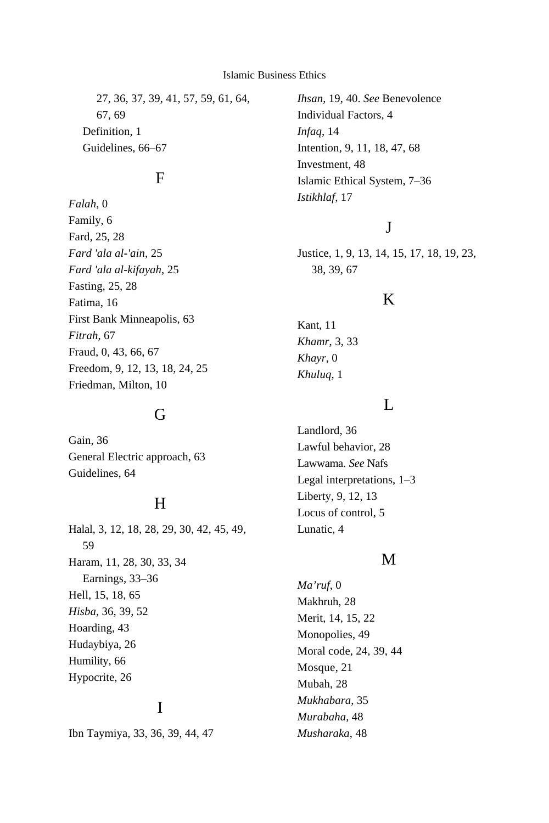27, 36, 37, 39, 41, 57, 59, 61, 64, 67, 69 Definition, 1 Guidelines, 66–67

### F

*Falah*, 0 Family, 6 Fard, 25, 28 *Fard 'ala al-'ain*, 25 *Fard 'ala al-kifayah*, 25 Fasting, 25, 28 Fatima, 16 First Bank Minneapolis, 63 *Fitrah*, 67 Fraud, 0, 43, 66, 67 Freedom, 9, 12, 13, 18, 24, 25 Friedman, Milton, 10

### G

Gain, 36 General Electric approach, 63 Guidelines, 64

## H

Halal, 3, 12, 18, 28, 29, 30, 42, 45, 49, 59 Haram, 11, 28, 30, 33, 34 Earnings, 33–36 Hell, 15, 18, 65 *Hisba*, 36, 39, 52 Hoarding, 43 Hudaybiya, 26 Humility, 66 Hypocrite, 26

## I

Ibn Taymiya, 33, 36, 39, 44, 47

*Ihsan*, 19, 40. *See* Benevolence Individual Factors, 4 *Infaq*, 14 Intention, 9, 11, 18, 47, 68 Investment, 48 Islamic Ethical System, 7–36 *Istikhlaf*, 17

# J

Justice, 1, 9, 13, 14, 15, 17, 18, 19, 23, 38, 39, 67

## K

Kant, 11 *Khamr*, 3, 33 *Khayr*, 0 *Khuluq*, 1

## L

Landlord, 36 Lawful behavior, 28 Lawwama. *See* Nafs Legal interpretations, 1–3 Liberty, 9, 12, 13 Locus of control, 5 Lunatic, 4

### M

*Ma'ruf*, 0 Makhruh, 28 Merit, 14, 15, 22 Monopolies, 49 Moral code, 24, 39, 44 Mosque, 21 Mubah, 28 *Mukhabara*, 35 *Murabaha*, 48 *Musharaka*, 48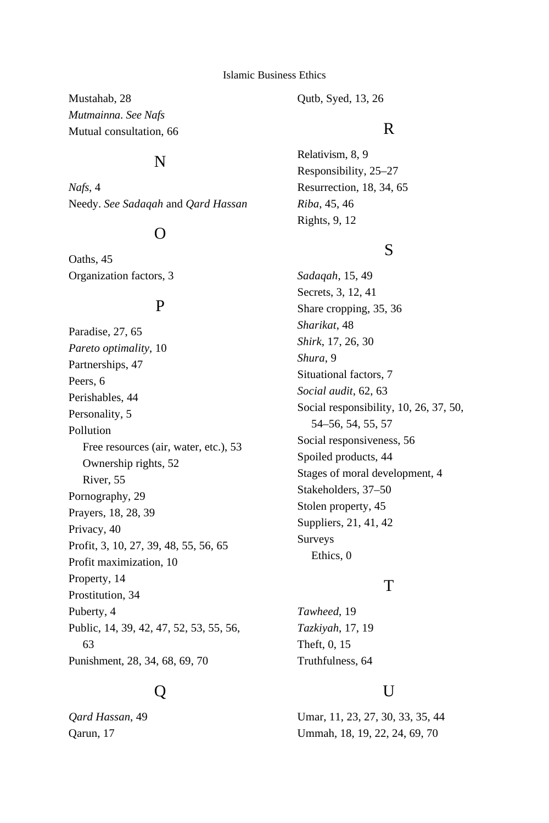Mustahab, 28 *Mutmainna*. *See Nafs* Mutual consultation, 66

## N

*Nafs*, 4 Needy. *See Sadaqah* and *Qard Hassan*

## $\Omega$

Oaths, 45 Organization factors, 3

### P

Paradise, 27, 65 *Pareto optimality*, 10 Partnerships, 47 Peers, 6 Perishables, 44 Personality, 5 Pollution Free resources (air, water, etc.), 53 Ownership rights, 52 River, 55 Pornography, 29 Prayers, 18, 28, 39 Privacy, 40 Profit, 3, 10, 27, 39, 48, 55, 56, 65 Profit maximization, 10 Property, 14 Prostitution, 34 Puberty, 4 Public, 14, 39, 42, 47, 52, 53, 55, 56, 63 Punishment, 28, 34, 68, 69, 70

## Q

*Qard Hassan*, 49 Qarun, 17

Qutb, Syed, 13, 26

## R

Relativism, 8, 9 Responsibility, 25–27 Resurrection, 18, 34, 65 *Riba*, 45, 46 Rights, 9, 12

## S

*Sadaqah*, 15, 49 Secrets, 3, 12, 41 Share cropping, 35, 36 *Sharikat*, 48 *Shirk*, 17, 26, 30 *Shura*, 9 Situational factors, 7 *Social audit*, 62, 63 Social responsibility, 10, 26, 37, 50, 54–56, 54, 55, 57 Social responsiveness, 56 Spoiled products, 44 Stages of moral development, 4 Stakeholders, 37–50 Stolen property, 45 Suppliers, 21, 41, 42 Surveys Ethics, 0

## T

*Tawheed*, 19 *Tazkiyah*, 17, 19 Theft, 0, 15 Truthfulness, 64

## $U$

Umar, 11, 23, 27, 30, 33, 35, 44 Ummah, 18, 19, 22, 24, 69, 70